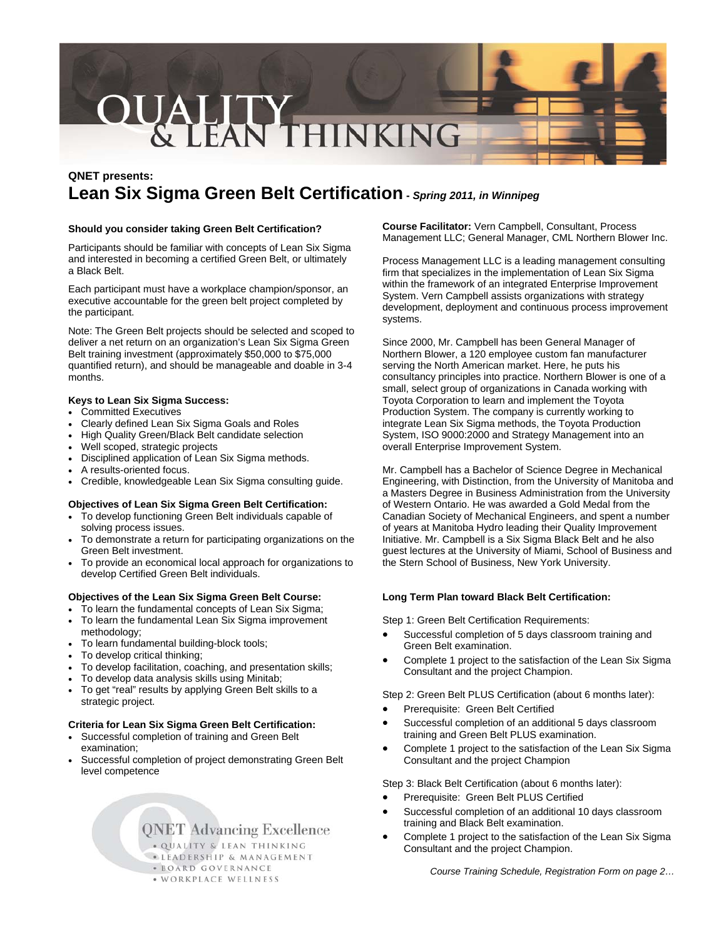# **OUALITY**<br>& LEAN THINKING

# **QNET presents: Lean Six Sigma Green Belt Certification -** *Spring 2011, in Winnipeg*

# **Should you consider taking Green Belt Certification?**

Participants should be familiar with concepts of Lean Six Sigma and interested in becoming a certified Green Belt, or ultimately a Black Belt.

Each participant must have a workplace champion/sponsor, an executive accountable for the green belt project completed by the participant.

Note: The Green Belt projects should be selected and scoped to deliver a net return on an organization's Lean Six Sigma Green Belt training investment (approximately \$50,000 to \$75,000 quantified return), and should be manageable and doable in 3-4 months.

# **Keys to Lean Six Sigma Success:**

- Committed Executives
- Clearly defined Lean Six Sigma Goals and Roles
- High Quality Green/Black Belt candidate selection
- Well scoped, strategic projects
- Disciplined application of Lean Six Sigma methods.
- A results-oriented focus.
- Credible, knowledgeable Lean Six Sigma consulting guide.

# **Objectives of Lean Six Sigma Green Belt Certification:**

- To develop functioning Green Belt individuals capable of solving process issues.
- To demonstrate a return for participating organizations on the Green Belt investment.
- To provide an economical local approach for organizations to develop Certified Green Belt individuals.

# **Objectives of the Lean Six Sigma Green Belt Course:**

- To learn the fundamental concepts of Lean Six Sigma; • To learn the fundamental Lean Six Sigma improvement
- methodology;
- To learn fundamental building-block tools;
- To develop critical thinking;
- To develop facilitation, coaching, and presentation skills;
- To develop data analysis skills using Minitab;
- To get "real" results by applying Green Belt skills to a strategic project.

# **Criteria for Lean Six Sigma Green Belt Certification:**

- Successful completion of training and Green Belt examination;
- Successful completion of project demonstrating Green Belt level competence

**QNET Advancing Excellence** 

. QUALITY & LEAN THINKING **. LEADERSHIP & MANAGEMENT** · BOARD GOVERNANCE • WORKPLACE WELLNESS

**Course Facilitator:** Vern Campbell, Consultant, Process Management LLC; General Manager, CML Northern Blower Inc.

Process Management LLC is a leading management consulting firm that specializes in the implementation of Lean Six Sigma within the framework of an integrated Enterprise Improvement System. Vern Campbell assists organizations with strategy development, deployment and continuous process improvement systems.

Since 2000, Mr. Campbell has been General Manager of Northern Blower, a 120 employee custom fan manufacturer serving the North American market. Here, he puts his consultancy principles into practice. Northern Blower is one of a small, select group of organizations in Canada working with Toyota Corporation to learn and implement the Toyota Production System. The company is currently working to integrate Lean Six Sigma methods, the Toyota Production System, ISO 9000:2000 and Strategy Management into an overall Enterprise Improvement System.

Mr. Campbell has a Bachelor of Science Degree in Mechanical Engineering, with Distinction, from the University of Manitoba and a Masters Degree in Business Administration from the University of Western Ontario. He was awarded a Gold Medal from the Canadian Society of Mechanical Engineers, and spent a number of years at Manitoba Hydro leading their Quality Improvement Initiative. Mr. Campbell is a Six Sigma Black Belt and he also guest lectures at the University of Miami, School of Business and the Stern School of Business, New York University.

# **Long Term Plan toward Black Belt Certification:**

Step 1: Green Belt Certification Requirements:

- Successful completion of 5 days classroom training and Green Belt examination.
- Complete 1 project to the satisfaction of the Lean Six Sigma Consultant and the project Champion.

Step 2: Green Belt PLUS Certification (about 6 months later):

- Prerequisite: Green Belt Certified
- Successful completion of an additional 5 days classroom training and Green Belt PLUS examination.
- Complete 1 project to the satisfaction of the Lean Six Sigma Consultant and the project Champion

Step 3: Black Belt Certification (about 6 months later):

- Prerequisite: Green Belt PLUS Certified
- Successful completion of an additional 10 days classroom training and Black Belt examination.
- Complete 1 project to the satisfaction of the Lean Six Sigma Consultant and the project Champion.

*Course Training Schedule, Registration Form on page 2…*